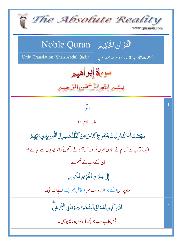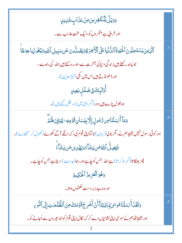<u>وَوَي</u>ۡلٌ لِلۡكَفِرِينَ مِنۡ عَذَابٍ شَرِيدٍ اور خرائی ہے منکر وں کو،ایک سخت عذاب سے۔ ٱلَّزِينَ يَسۡتَحِبُّونَ ٱلٰۡٓكَٰٓيَوٰۚ قَٱللَّٰٓ نُمۡا عَلَى ٱلۡأَخِرَةِوَيَصُلُّونَ عَن سَبِيلِ ٱللَّهِ وَيَبۡغُونَهَا عِوَجَا جو پسند رکھتے ہیں زندگی دینیا کی آخرت سے،اور روپتے ہیں اللہ کی راہ سے، اور ڈھونڈ تے <del>ہ</del>یں اس میں بجی( ٹیڑ ھاین)۔ ؚ<br>أُوۡلَٰٓيِكَ فِى ضَلَلِ بَعِيلٍ وہ بھو**ل پڑے ہیں دور (**گمر اہی میں دُور نکل گئے ہیں )۔ <u>و</u>َمَآ أَمۡسَلۡنَاصِ  ${}^{\omega}_{\nu}$ سُولِ إِلَّا بِلِسَانِ قَوۡصِهِۦ لِيُبَيِّنَ لَهُمَّ اور کوئی رسول نہیں بھیجاہم نے، مگر بولی(زبان) بولتااپنی قوم کی، کہ انکے آگے کھولے (کھول کر سمجھائے)۔ **ۘۏ**ؘؽؚۻؚڵؖ۠ٱڷڷٙڡ۠ڡؘڹؾؘۺؘؘۜٲۦ۠ۏؠؘۿؘڸؽڡؘڹؾۺؘٲۨۦ۠ پھر بھٹکا تا( گمر اہ کر تا) ہے اللہ جس کوچاہے اور راہ( ہدایت ) دیتا ہے جس کوچاہے۔ وَهُوَ ٱلۡعَزِيزُ ٱلۡكِيمُ اور وہ ہے زبر دست حکمتوں والا۔ وَلَقَّلۡ أَيۡسَلۡنَامُوسَىٰ بَايَتِنَآ أَنۡ أَخۡرِ جۡقَوۡمَكَ مِنَ ٱلظُّٰلُمَـٰتِ إِلَى ٱلنُّوِي .5 اور بھیجاتھاہم نے موسیٰ اپنی نشانیاں دے کر کہ نکال اپنی قوم کو اند حیر وں سے اُجالے کو۔ 2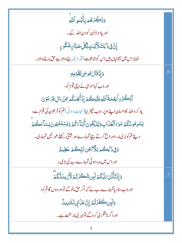| <b>وَذَكِّرۡهُمۚ بِأَيَّد<i>ُو</i>ِ ٱ</b> للَّٰهِ                                         |    |
|-------------------------------------------------------------------------------------------|----|
| اور یاد دلااُن کو دن اللّہ کے۔                                                            |    |
| ٳۣڹٞ؋ۣۮؘٳڸڬڷٲؾٮۣٟٳڴڸٞڝٙڹٵۑؚۺؘػۢۅؠۣ                                                        |    |
| البتہ اس میں نشانیاں ہیں اس کو جو ثابت ( قدم )رہنے والا ہے حق ماننے والا۔                 |    |
| وَإِذْقَالَهُوسَىٰ لِقَوْمِهِ                                                             | .6 |
| اور جب کہاموسیٰ نے اپنی قوم کو،                                                           |    |
| ٱزْكُرُواۡ لِغَمَةَالَّالَهِ عَلَيۡكُمۡۚ إِزۡأَنۡجَلَكُم مِّنۡ ءَالِ فِرۡ عَوۡنَ          |    |
| یاد کر والله کااحسان اپنے اوپر، جب چیٹرایا(نجات دلائی) تم کو فرعون کی قوم سے،             |    |
| يَسُوهُونَكُمَ سُوَءَٱلْعَلَاابِ وَيُنَبِّحُونَ أَبَنَآءَكُمۡ وَيَسۡتَخۡيُونَ نِسَآءَكُمۡ |    |
| دیتے تم کوبُر کی مار،اور ذبح کرتے بیٹے تمہارے اور جیتی رکھتے عور تیں تمہاری۔              |    |
| <u>ۯڣۣ۬</u> ۮ۬ <sup>ٚٳ</sup> ڸڴؗؗ۠۠؏ڔڹڷۜڒٛۦ۠۠ۊؚڹ <i>؆ڹ</i> ۪ۜڴؽٙ؏ؘڟؚٟۑؖؖ؏۠                |    |
| اور اس میں مد د ہوئی تمہارے رب کی بڑی۔                                                    |    |
| ۯٳؚۯ۬ۘؾؘٲۜٛڐؘۜڹ <i>؆ۑ</i> ؖ۠ػ۠ۮڶٳؚڹۺؘڪؘۯٮٙ۠ۮ <sup>ٙ</sup> ؚڒڴۯؚؠڹڷۜػ۠ػۛۯٙ                 |    |
| اور جب سنادیاتمہارے رب نے کہ اگر حق مانوگے تواور دوں گاتم کو،                             |    |
| <u>وَلَبِن كَفَرَتُمْ إِنَّ عَذَابِى لَشَرِيدٌ</u>                                        |    |
| اور اگر ناشکر کی کر و <i>گے</i> تومیر کی مارسخت ہے۔                                       |    |
|                                                                                           |    |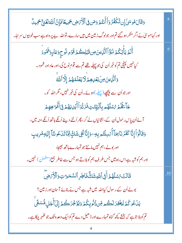| وَقَالَ هُوسَىٰٓ إِن تَكۡفُرُوٓ أَأَنتُمۡ وَمَن فِى ٱلۡأَرۡ صِ جَمِيعًا فَإِنَّ ٱللَّهَ لَغَنِّ حَمِيلٌ           | $\overline{8}$ |
|-------------------------------------------------------------------------------------------------------------------|----------------|
| اور کہاموسیٰ نے اگر منکر ہو گئے تم اور جولوگ زمین میں ہیں سارے، تواللہ بے پر واہ ہے سب خوبیوں سر اہا۔             |                |
| ٲؖڶ <sub>ػ</sub> ڔؾٲۢؾػ۠ؽٙٮؘٚڹؘ <sub>ڴ</sub> ٱٱڶۜڸ۫ؠؾ؈ۊؘڹ <sub>ٞ</sub> ڸڴؽٷؘۏ؞ؚٮؙ۠ڔٙۏڡؘٵڔٟۏ <sup>ؿ</sup> ۿؙٶۮ     | 9.             |
| کیانہیں پَپْنچی تم کو خبر اُن کی جو پہلے تھے تم سے قوم نوح کی،اور عاد اور شمو د۔                                  |                |
| وَٱلَّٰٓنِينَ مِنۡ بَعۡىٰهِمۡ لَا يَعۡلَمُهُمۡ إِلَّآ ٱللَّهۡ                                                     |                |
| اور جواُن سے پیچھے (پہلے)ہوئے۔اُن کی خبر نہیں، مگر اللّٰہ کو۔                                                     |                |
| جَآءَ <i>ۿٞۮ۠<sub>ۮ</sub>؇ۺ</i> ڷۿ۠ۄۑؚٲڷڹٙؾۣ <i>ڐؾ</i> ڡؘ۬ڗڒ۠ڗٲٲؘؽٙڸؠؘۿۮ؋ۣٵؙۧڡؘ۬ۘٷڡؚۿؚٟۄ                          |                |
| آئے اُن پاس رسول اُن کے ،نشانیاں لے کر ، پھر اُلٹے دیئے اُنکے ہاتھ اُنکے منہ میں ،                                |                |
| وَقَالُوَاۡۚ إِنَّاۤ كَفَرۡ نَآ بِمَآ أُمۡسِلۡتُم بِهِۦوَإِنَّاۤ لَفِى شَكِّ مِّنَآ تَلۡ عُونَنَآ إِلَيۡهِمْرِيبِ |                |
| اور بو لے، ہم نہیں مانتے جو تمہارے ہاتھ بھیجا،                                                                    |                |
| اور ہم کوشبہ ہے اس راہ میں جس طرف ہم کو بلاتے ہو جس سے خاطر جمع(مطمئن ) نہیں۔                                     |                |
| قَالَتۡ ۚ مُمْلَهُمۡ أَفِى ٱللَّهِ شَكٌّ فَاطِرِ ٱلسَّمَرَ ۚ تِ وَٱلۡأَرۡصَ                                       | .10            |
| بولے اُن کے رسول کیااللہ میں شبہ ہے جس نے بنائے آسان اور زمین؟                                                    |                |
| يَنۡعُو كُمۡ لِيَغۡفِرَ لَكُم مِّن ذُنُوبِكُمۡ وَيُؤَخِّرَكُمۡ إِلَىٰٓأَجَلِ مُّسَمَّى                            |                |
| تم کوبلا تاہے کہ بخشے پچھ گناہ تمہارے اور ڈ ھیل دے تم کو ایک وعد ہ تک جو کھُہر چکاہے۔                             |                |
|                                                                                                                   |                |

H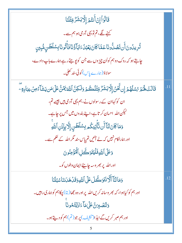| قَالُوَاۡۖ إِنۡ أَنتُمۡ إِلَّا بَشَرٌّ مِّثۡلُنَا                                                                             |     |
|-------------------------------------------------------------------------------------------------------------------------------|-----|
| کہنے لگے، تم تو یہی آدمی ہو ہم سے۔                                                                                            |     |
| تُرِيدُونَ أَن تَصُدُّونَا عَمَّا كَانَ يَعْبُدُ ءَابَآ وُّنَا فَأَتُونَا بِسُلْطَنِ مُّبِينِ                                 |     |
| چاہتے ہو کہ روک دوہم کواُن چیز وں سے جن کو پوچتے رہے ہمارے باپ دادے،                                                          |     |
| سولاؤ(ہارے پاس) کوئی سند کھل <u>ی</u> ۔                                                                                       |     |
| قَالَتْ لَهُمْ رُسُلُهُمْ إِن تَّحْنُ إِلَّابَشَرٌّ مِّثْلُكُمْ وَلَكِنَّ ٱللَّهَ يَمُنُّ عَلَىٰ مَن يَشَأْءُ مِن عِبَادِةِ ۖ | .11 |
| ان کو کہاان کے رسولوں نے،ہم یہی آدمی ہیں جیسے تم،                                                                             |     |
| لیکن اللہ  احسان کر تاہے،اپنے بندوں میں جس پر چاہے۔                                                                           |     |
| وَمَاكَانَ لَنَّآَ أَن تَأْتِيَكُمْ بِسُلْطَنٍ إِلَّا بِإِذْنِ ٱللَّهِ                                                        |     |
| اور ہماراکام نہیں کہ لے آئیں تم پاس سند مگر اللہ کے حکم سے۔                                                                   |     |
| وَعَلَى اللَّهِ فَلَيْتَوَكَّلِ الْمُؤْمِنُونَ                                                                                |     |
| اور الله پر بھر وسہ چ <u>اہی</u> ئےایمان والوں کو۔                                                                            |     |
| وَمَالَتَآ أَلَّا نَتَوَكَّلَ عَلَى اللَّهِ وَقَدْ هَدَيْنَا سُبُلَنَا                                                        | .12 |
| اور ہم کو کیاہوا، کہ بھر وسانہ کریں اللہ پر اور وہ تبھا( بتا) چکاہم کو ہماری راہیں۔                                           |     |
| وَلَنَّصْبِرَنَّ عَلَىٰ مَآءَادَيۡتُمُونَا                                                                                    |     |
| اور ہم صبر کریں گے ایذ ا(تنکیف) پر جو (تم)ہم کو دیتے ہو۔                                                                      |     |
| 5                                                                                                                             |     |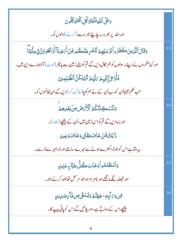| دَعَلَى اللَّهِ فَلَيْتَوَكَّلِ الْمُتَوَكِّلُونَ                                                          |     |
|------------------------------------------------------------------------------------------------------------|-----|
| اور الله پر بھر وسہ <del>چاہئے</del> بھر وسے (کرنے) والوں کو۔                                              |     |
| وَقَالَ ٱلَّذِينَ كَفَرُواْلِرُسُلِهِمْ لِنُّخْرِجَنَّكُم مِّنْ أَمْضِنَآ أَوۡ لَتَعُودُنَّ فِى مِلَّتِنَآ | .13 |
| اور کہامنکر وں نے اپنے رسولوں کو ہم نکال دیں گے تم کو اپنی زمین سے یا پھر (لوٹ) آؤہمارے دین میں۔           |     |
| فَأَوْىَ إِلَيْهِمْ مَبّْهُمْ لَنُهْلِكُنَّ ٱلظَّلِمِينَ                                                   |     |
| تب حکم بھیجااُن کورب اُن کے نے ہم کھپا( ہلاک کر) دیں گے ان ظالموں کو۔                                      |     |
| وَلَنُسْكِنَنَّكُمُ ٱلْأَرْضَ مِنْ بَعْدِهِمْ                                                              | .14 |
| اور بسادیں گے تم کواس <mark>زمین می</mark> ں،اُن کے پ <u>چھ</u> ے (بعد)۔                                   |     |
| <u>ڒٳڸڐڸؾؘؿٙڂٳٮ</u> ؘٙٙڡڡؘڷٳؠۄؘڂؘٳٮؘۅٙ <sub>ڮڸ</sub> ڔ                                                     |     |
| یہ ملتاہے اس کوجوڈراکھڑے ہونے سے میرےسامنے اور ڈرامیرےڈرسے۔                                                |     |
| وَٱسۡتَفۡتَحُواۡۖ وَخَابَكُلُّ جَبَّاسٍ عَنِيلٍ                                                            | .15 |
| اور فیصلہ کگے مانگنے اور نامر اد ہو اجو سر <sup>س</sup> ش تھاضد کرنے والا۔                                 |     |
| ڡ <b>ؚۜٞ</b> ۜڽۥ <i>ۏ؆</i> ٳۜۑؚڡؚۦڿۿٮٚۧؖۿ <sub>ٛ</sub> ۥۯؽ۠ۺڠۧٳڡؚڹۿٵۧۦؚٟڝؘڸؠڸۣ                             | .16 |
| پیچھےاس کے دوزخ ہے،اور پلائیں گے اس کوپانی پیپ کا۔                                                         |     |
|                                                                                                            |     |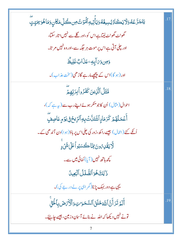| <b>ؽ</b> ؘڹؘؖڿڗٞۓ۠ۿۏڶٳؾٟٮٙػٲۯ۠ؽ۠ڛؠۼ۠ڡ۠ۏؘؾٲؘؚٚؾٟڽۊٱڶؙٙؠٙۯٮٞ۠؈ؚ؎ڴڵؚڡؘػؘٲڹۣۏؘڡؘٲۿ۠ۏٙۥۣۧ <i>ڡ</i> ؘؾؚۣؾٟۜ |     |
|-------------------------------------------------------------------------------------------------------|-----|
| گھونٹ گھونٹ لیتاہےاس کو،اور گلے سے نہیں اتار سکتا،                                                    |     |
| اور چلی آتی ہے اس پر موت ہر جگہ سے،اور وہ نہیں مر تا۔                                                 |     |
| <u>وَ</u> صِ وَىَ آيِكِ عَذَابٌ غَلِيظٌ                                                               |     |
| اور (ہو گا)اس کے پیچھےمارہے گاڑھی(سخت عذاب)۔                                                          |     |
| مَّثَلُ ٱلَّذِينَ كَفَرُوا۟بِرَبِّهِمَّ                                                               | .18 |
| احوال(مثال) <mark>اُن کاجومنکر ہوئے اپنےرب سے (پ</mark> ے کہ)،                                        |     |
| ٲٛۼٙڡڵۿؽ <i>ۮ</i> ػڗڡؘٳٳٱۺ۫ <del>ؘؾ</del> ڷۜۨڽۛڹؚ؋ٱڵڗؚۨۑڂ؋ۣؾۯٙۄؚؚؚٟڡؘڶڝؚڣٟ                            |     |
| اُنگے کئے (اعمال) جیسے را کھ،زور کی چلی اس پر باؤ(ہوا) دن آندھی کے۔                                   |     |
| ڷۜٲؽقۡڮ؇ۄڹ؇ۣٵۧڪؘڛؘڹۅٲٛٙ۠ٵٙڮۺؘ۬ؠ۫ۜ                                                                     |     |
| سچھ ہاتھ نہیں ( آیا) کمائی میں سے۔                                                                    |     |
| ذَٰ لِكَ هُوَ ٱلضَّلَلُ ٱلۡبَعِينُ                                                                    |     |
| یپی ہے دور بہک پڑنا(گمر اہی پر لے درجے کی)۔                                                           |     |
| أَلَمۡ تَرَأَنَّ ٱللَّهَ خَلَقَ ٱلسَّمَوَاتِ وَٱلۡأَرۡصَٰٓ بِٱلۡلَٰٓ                                  | .19 |
| تونے نہیں دیکھا کہ اللہ نے بنائے آسان وزمین، جیسے چاہیئے۔                                             |     |
|                                                                                                       |     |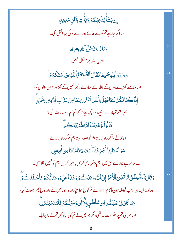| ؚٳؚڹؾڣؘٲؘٛؽۯۡۿؚڹۘػ۠ؽٙۏؾٲۜٛؾؚڹؚڂؘڶڗؚڿڮٳۑڮٟ                                                                             |     |
|-----------------------------------------------------------------------------------------------------------------------|-----|
| اور اگر چاہے تم کولے جائے اور لائے کوئی پید اکش نئی۔                                                                  |     |
| وَمَاذَ ٰلِكَ عَلَى ٱللَّهِ بِعَزِيزٍ                                                                                 | .20 |
| اور بیہ اللہ پر مشکل نہیں۔                                                                                            |     |
| <u>وَبَرَرُواْ لِلَّهِ جَمِيعًا فَقَالَ ٱلضُّعَفَّؤُاْ لِلَّذِينَ ٱسْتَكْبَرُوَ</u> اْ                                | .21 |
| اور سامنے کھڑے ہوں گے اللہ کے سارے، پھر کہیں گے کمز وربڑ ائی والوں کو،                                                |     |
| إِنَّا كُنَّالِكُمۡ تَبَعًافَهَلۡ أَنتُم مُّغۡنُونَ عَنَّامِنۡ عَذَابِ ٱللَّهِ مِن شَيۡ ءِ                            |     |
| ہم تھے تمہارے پیچھے،سو کچھ بچاؤگے تم ہم سے مار اللہ کی؟                                                               |     |
| قَالُواْلَوَهَدَلنَاالَلَّهُ هَدَيَّتَكُمْ                                                                            |     |
| وہ بولے،اگر راہ پر لا تاہم کو اللہ ،الیتہ ہم تم کوراہ پر لاتے،                                                        |     |
| سَوَاءٌ عَلَيۡنَاۤ أَجَزِعۡنَآ أَمۡ صَبَرۡنَامَالنَّامِن تَّحِيصِ                                                     |     |
| اب برابر ہے ہمارے حق میں، ہم بیقراری کریں یاصبر کریں، ہم کو نہیں خلاصی۔                                               |     |
| وَقَالَ ٱلشَّيْطَنُ لَمَّا قُضِيَ ٱلْأَمَرُ إِنَّ ٱللَّهَوَعَدَكُمْ وَعَْدَ ٱلْحَقِّ وَوَعَدَتُّكُمْ فَأَخَلَفْتُكُمْ | .22 |
| اور بولا شیطان، جب فیصلہ ہو چکاکام،اللّٰہ نے تم کو دیاتھاسچاوعدہ،اور میں نے وعدہ دیا پھِر حجھوٹ کیا،                  |     |
| <u>و</u> َمَا كَانَ لِىَ عَلَيْكُم مِّن سُلْطَنِ إِلَّآ أَن دَعَوۡتُكُمۡ فَأَسۡتَجَبۡتُمۡ لِّيَ                       |     |
| اور میر ی تم پر حکومت نہ تھی، مگر جو میں نے تم کو بلایا، پھر تم نے مان لیا۔                                           |     |
|                                                                                                                       |     |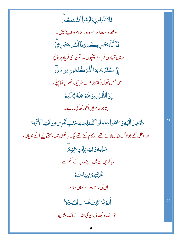فَلَاتَلُومُونِيَ وَلَومُوَأَأَنفُسَكُمْ سومچھ کومت الزام دواور الزام دواپنے تبی<u>ن</u>۔ ڡۜٙٲٲؘڹۨٲ۠*ؚ؉ٛڞؙڔڿ*ؚٮػ۠ؽ<sub>ؘ</sub>ۯۄؘڡؘٲٲٛڹؾ۠<sub>ڡ</sub>ۥؚٙ*؇ڞ۫ڔڿ*ؖٞ نەمىن تمہارى فرياد كوپېنچوں، نەتم مىرى فرياد پر پېنچو۔ ٳڹۨٙ۠ؾ۠ٙڂؘڡٞۯٙٮ۠ٛۥؚؚؠؘٵٙٲٞۺۘ۬ٞۯڂۘ۫ؾ۠ۿۅڹڡۣڹڰ۪ٙڷؖ میں نہیں قبول رکھتاجو تم نے شریک ٹھہر ایاتھا پہلے ، إِنَّ ٱلظَّلِمِينَ لَهُمۡ عَذَابٌ أَلِيمٌ الېته جو ظالم بيں انګو د کھ کې مار ہے۔ دَأْدُ يِجِلَ ٱلَّذِينَ ءَامَنُواْ دَعَمِلُواْ ٱلصَّلِحَتِ جَنَّتِ تَجْرِى مِن تَحْيَهَا ٱلْأَنْهَدُ .23 اور داخل کئے جولوگ ایمان لائے تھے اور کام کئے تھے نیک، باغوں میں، بہتی پنچے اُنکے ندیاں، <u>ػڸڸٳؾؘ؋ۣۑؠ</u>ٵۑٳؘۮٙڹ؆ؚڹڡ۪ؽٙ ر ہاکریں ان میں اپنے رب کے حکم سے۔ تَحِيَّتُهُمْ فِيهَاسَلَمُّ اُن کی ملا قات ہے وہاں سلام۔ أَلَمۡ تَرَ كَيۡفَضَرَبَ ٱللَّهۡمَثَلاَ  $.24$ تونے نہ دیکھا؟ بیان کی اللہ نے ایک مثال، 9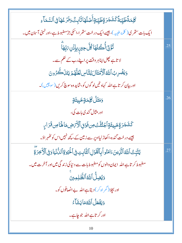| ػڸڡؘ <b>ڐؑٙ</b> ڟؾۣڹ <i>ڐۧ</i> ػۺؘ <i>ڿ</i> ؘڗۊٟٚڟؾۣڹۊؚٲۧڞڶۿٲڎۧٲۑؚؾ۠ٞۏڡ۬ۯٙۓۿٲڧۣٱڶڛؖۧڡؘٲۦؚ                    |     |
|--------------------------------------------------------------------------------------------------------------|-----|
| ایک بات ستھری( کلمۂ طیبہ )، جیسے ایک درخت ستھرا،اسکی جڑمضبوط ہے،اور ٹہنی آس <mark>ان می</mark> ں۔            |     |
| <i>ڐؙ</i> ؚۅٚٙؾٲؙ۠ٛ؎ؙڶۿٵڴڵٙڿڛۣڹؚٳؙۥٛ۬ڹ <i>؆ؚ</i> ؚۨڣؖٵؖ                                                      | .25 |
| لا تاہے پھِل <sub>ا</sub> پناہر وقت پر اپنے رب کے حکم سے۔                                                    |     |
| وَيَضُرِبُ ٱللَّهُ ٱلْأَمۡثَالَ لِلنَّاسِ لَعَلَّهُمۡ يَتَلَكَّرُونَ                                         |     |
| اور بیان کرتاہے اللہ کہاو تیں لو گوں کو،شاید وہ سوچ کریں (سوچیں)۔                                            |     |
| <mark>وَمَثَلُ كَلِمَةٍخَبِيثَةٍ</mark>                                                                      | .26 |
| اور مثال گندی بات کی،                                                                                        |     |
| <i>ػ</i> ۺؘٙڿۯۊٕٚڂۑؚؠۣؿؘۊٟٲڿۘڹ۠ؿ۠ۜؾٞٙڡؚڹ؋ٙۏۊ۪ٱڷۯٞ <i>ؠٞ</i> ۻؚڡؘٳۿٙٵڝؚ؋ڗٳ <sub>؆ۣ</sub>                      |     |
| جیسے در خت گندہ،اکھاڑلیااوپر سے زمین کے ،کچھ نہیں اس کو کھُہر اوَ۔                                           |     |
| يُثَبِّثُ ٱللَّهُ ٱلَّذِينَ ءَامَنُو أَبِٱلْقَوْلِ ٱلثَّابِتِ فِى ٱلْحَيَوٰةِ ٱللَّانِّيَا وَفِى ٱلْأَخِرَةِ | 27  |
| مضبوط کر تاہے اللہ  ایمان والوں کومضبوط بات سے د نیا کی زند گی میں اور آخر ت میں۔                            |     |
| وَيُضِلُّ ٱللَّهُ ٱلظَّلِمِينَ                                                                               |     |
| اور بچلا(گمر اہ کر) دیتاہے اللہ بے انصافوں کو۔                                                               |     |
| وَيَفۡعَلُ ٱللَّهُمَايَشَآءُ                                                                                 |     |
| اور کر تاہےاللہ جوجاہے۔                                                                                      |     |
|                                                                                                              |     |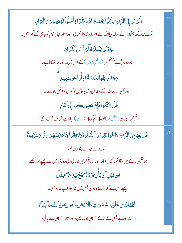| أَلَمَ تَرَ إِلَى ٱلَّذِينَ بَنَّالُو أَنِعُمَتَ ٱللَّهِ كُفُرًا وَأَحَلُّواْ قَوْمَهُمَ دَامَ ٱلْبَوَايِ | .28 |
|-----------------------------------------------------------------------------------------------------------|-----|
| تونے نہ دیکھا جنہوں نے بدلہ کیااللہ کے احسان کا،ناشکر کی،اور اتاراا پنی قوم کو تباہی کے گھر میں۔          |     |
| جَهَنَّمَ يَصُلَوۡهَۖ ۚ وَبِئۡسَ ٱلۡقَدَارُ                                                               | .29 |
| جو دوزخ ہے پیٹھیں ( داخل ہوں) گے اس میں۔اور براٹھکانا ہے۔                                                 |     |
| <b>وَجَعَلُواً لِلَّهِ أَننَ</b> ادًالِيَّضِلُّواً عَن سَبِيلِهِ ۖ                                        | .30 |
| اور تھٰہر ائے اللہ کے مقابل، کہ بہکائیںلو گوں کواسکی راہ سے۔                                              |     |
| قُلْ تَمَتَّعُواْ فَإِنَّ مَصِيرَكُمْ إِلَى ٱلتَّارِ                                                      |     |
| ٹو <sub>ک</sub> ہہ،برت( <sup>عیش کر)لو،پھرتم کو پھر (لو<sub>ٹ</sub>) جاناہے طرف آگ کے۔</sup>              |     |
| ۛۊؙ۠ڵڶ <b>ڸ</b> ۜۼڹٲۮۣؠؘٱڷۜڒؚؠؾۥؘٵڡؘڹؙٛۅٲٛؽؙڦؚؽڡ۠ۅٲٲڶڞۜڶۏۜڐؘۏؽؙڹڣڤؙۅٲٝڛ۠ٵۜ؆ۯؘػۛۘٮٙۿ۠ؽٙڛڗؖٞٵۅؘعؘڶٳڹؾڐۘٞ    | .31 |
| کہہ دے میرے بندوں کو،                                                                                     |     |
| جویقین لائے ہیں، قائم رکھیں نماز،اور خرچ کریں ہماری دی روزی میں سے چھپے اور کھلے ،                        |     |
| ڡِّن؋ؘڹڸٲؘڹؾؘٲؘ۪ڗۣؠؾؘٟۄ۠ڷڒڹؽۼۨ۠ڣۣۑۊۏڶٳڿڶڵٛ                                                                |     |
| پہلے اس سے کہ آئےوہ دن جس میں نہ سودا ہے نہ دوستی۔                                                        |     |
| ٱللَّهُ ٱلَّذِى خَلَقَ ٱلسَّمَوَاتِ وَٱلۡأَرۡصَى وَأَنزَلَ مِنَ ٱلسَّمَاۤءِ مَآءً                         | .32 |
| اللہ وہ ہے جس نے بنائے آسان اور زمین،اور اتارا آسان سے پانی،                                              |     |
| 11                                                                                                        |     |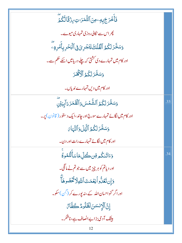| ڣؘٲۧڂ <i>ۘۯڿ</i> ٜۑڡؚٶڹؘٱڵؿ۠ؖڡؘۯٮؾؚ <i>ڕ</i> ۯ۬ۊؘٗٲڷػۢؽؖ        |     |
|-----------------------------------------------------------------|-----|
| چراس سے نکالی روزی تمہاری میوے۔                                 |     |
| وَسَخَّرَ لَكُمُ ٱلْقُلْكَ لِتَجْرِيَ فِى ٱلْبَحْرِ بِأَمْرِيَّ |     |
| اور کام میں تمہارے دی کشتی کہ چلے دریامیں اسکے حکم سے۔          |     |
| وَسَخَّرَ لَكُمُ ٱلْأَكْلَارَ                                   |     |
| اور کام میں دیں تمہارے ندیاں۔                                   |     |
| وَسَخَّرَ لَكُمُ ٱلشَّمۡسَ وَٱلۡقَمَرَ دَآبِبَيۡنَ              | .33 |
| اور کام میں لگائے تمہارے سورج اور جاند ،ایک دستور (قانون) پر۔   |     |
| وَسَخَّرَ لَكُمُ ٱلَّيَٰلَ وَٱلنَّهَارَ                         |     |
| اور کام میں لگائے تمہارے رات اور دن۔                            |     |
| دَءَاتَنكُم قِن كُلِّ مَاسَأَلَّتُمُولُّ                        | .34 |
| اور دیاتم کو ہر چیز میں سے جو تم نے مانگی۔                      |     |
| دَإِن تَعُلُّواً نِعْمَتَ ٱللَّهِلَاثَّخُصُوهَاَّ               |     |
| اور اگر گنواحسان اللہ کے ،نہ یورے کر (گن )سکو۔                  |     |
| إِنَّ ٱلْإِنسَنَ لَظَلُومٌ كَفَّاءٌ                             |     |
| بیٹک آدمی بڑاپےانصاف ہے،ناشکر۔                                  |     |
| 12                                                              |     |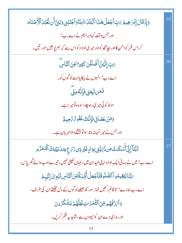| وَإِذۡقَالَ إِبۡدَاهِيمُ مَتِ ٱجۡعَلۡ هَـٰٓذَا ٱلۡبَلۡدَ ءَامِنَٓاوَٱجۡنُبۡنِیۡ وَبَنِیٓ أَن نَّعۡبُدَ ٱلۡأَصۡنَامَ | .35 |
|---------------------------------------------------------------------------------------------------------------------|-----|
| اور جس وقت کہاابر اہیم نے اےرب!                                                                                     |     |
| کر اس شہر کوامن کااور بچامچھ کواور میر کیااولا د کواس سے کہ ہم پو جیں مور تیں۔                                      |     |
| <sub>؆</sub> ؾؚٕ إِنَّهُنَّ أَضۡلَلۡنَ كَثِيرَ امِّنَ ٱلتَّاسِ                                                      | .36 |
| اے رب! انہوں نے بہکایا بہت لو گوں کو۔                                                                               |     |
| ڡ <i>ٙۮڹڗٙڿۏ</i> ۣڡؘٳؚۢٮٚؖڡ۠ڡۣ <i>ؾۨ۠</i>                                                                           |     |
| سوجو کوئی میر <sub>کی</sub> راہ چلا، سووہ تومیر اہے۔                                                                |     |
| <u>و</u> َمَنۡ عَصَانِى فَإِنَّكَ غَفُو <i>؆ُ</i> ؆حِيمُّ                                                           |     |
| اور جس نے میر اکہانہ مانا، سوتوبخشنے والا مہر بان ہے۔                                                               |     |
| ۥٱڹۜڹؘٵٳؚڹۣٞٲٞۺػڹٮ۠؈؇ؙؚڔۨؠؾؾۣڔڔٵۮؚۣۼؘؿڔۮؚؽۯ؆؏ؚۼڹڷڹؽؾؚڮٲڷۘڡؙػڗٞۄ                                                     | 37  |
| اے رب! میں نے بسائی ایک اولا داپنی مید ان میں، جہاں کھیتی نہیں، تیر ے ادب والے گھریاس،                              |     |
| يَبَّبَالِيُقِيمُواْ ٱلصَّلَوٰةَفَأَجْعَلُ أَفِّي َةَوِّنَ ٱلنَّاسِ تَهْوِيَ إِلَيَهِمْ                             |     |
| اے رب ہمارے! تا قائم رکھیں نماز سور کھ بعضے لو گوں کے دل چھکتے ان کی طرف،                                           |     |
| <u>و</u> َٱمَّنْ قَهُم <i>ُ وِّينَ</i> ٱلثَّمَرَاتِ لَعَلَّهُمۡ يَشۡكُرُونَ                                         |     |
| اور روزی دے ان کومیووں سے،شاید بیہ شکر کریں۔                                                                        |     |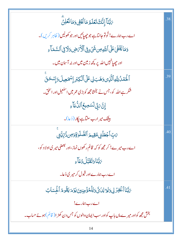| <sup>7</sup> بَّبَآٳبِنَّكَ تَعۡلَمُ مَائۡخَٰفِىوَمَانُعۡلِنَّ                         | .38 |
|----------------------------------------------------------------------------------------|-----|
| اے رب ہمارے! تُولوٓ جانتاہے جو جِھپاِبِيں اور جو کھولیں ( ظاہر کریں )۔                 |     |
| وَمَا يَخۡفَىٰ عَلَى ٱللَّهِ مِن شَىٰٓءٍ فِى ٱلۡأَمۡضِ وَلَا فِى ٱلسَّمَآءِ            |     |
| اور حِصِيانهمیں اللہ پر کچھ زمین میں اور نہ آسان میں۔                                  |     |
| ٱلۡۡكَمۡدُٰلِلَّهِٱلَّيۡنِىوَهَبَٰلِىعَلَى ٱلۡكِبۡرِ إِسۡمَعِيلَ وَإِسۡكَنَّ           | .39 |
| شکر ہے اللہ کو، جس نے بخشامجھ کو بڑی عمر میں اس <mark>لحیل اور اسحٰق۔</mark>           |     |
| ٳۣڹ <i>ٞۜڹ</i> ڮۨٙڶۺڝؚۼٱڵڷ۠ڡؘؘٳۧۦ                                                      |     |
| <b>بیٹک میر ارب سنآہے اپکار ( ڈعا)۔</b>                                                |     |
| <i>؆</i> ؚڹؚۨٵ <b>ؖڿۘڂ</b> ۘڶڹؚ؋ڡؚٙؽۄؘٳٲڵڞؖڵۏۊٚۅٙڡؚڹۮؙ؆ۣؾۜ۠ؿۣۨ                         | .40 |
| اے رب میرے! کر مجھ کو کہ قائم رکھوں نماز ،اور بعضی میر یااولا د کو،                    |     |
| بَابَّنَاوَتَقَبَّلُ دُعَاءِ                                                           |     |
| اے رب ہمارے اور قبول کر میر ی ڈعا۔                                                     |     |
| بَهَّبَنَا ٱغْفِرُ لِي وَلِمَّ لِلَّائِ وَلِلَّهُؤُمِنِينَ يَوْمَهُ يَقُومُ ٱلْجِسَابُ | .41 |
| اے رب ہمارے!                                                                           |     |
| بخش مجھ کواور میر ےماں باپ کواور سب ایمان والوں کو جس دن کھڑ ا( قائم )ہو نے حساب۔      |     |
|                                                                                        |     |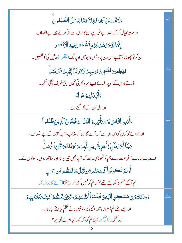| وَلَاتَّكْسَبَنَّ ٱللَّهَ غَفِلاً عَمَّا يَعُمَلُ ٱلظَّلِمُونَ                                      | 42  |
|-----------------------------------------------------------------------------------------------------|-----|
| اور مت خیال کر کہ اللہ بے خبر ہے ان کاموں سے جو کرتے ہیں بے انصاف۔                                  |     |
| ٳؚ <sup>ڹ</sup> ٞؖٙۜٙٙ <i>ڮ</i> ٳ۠ێٛۏٚػۣۯۿ۠ <sub>ۿ</sub> ٙڔڸؽۯٙۄٟؾؘۺٞ۬ڂۜڝ؋ۣۑۅٲڷۯؘ۬ڹۘٛڞۯ             |     |
| ان کوتو چھوڑ رکھتاہے اس دن پر ، جس دن میں اوپر لگ (پتھر ا) جائیں گی آئمھیں۔                         |     |
| ۿۿٙ <del>ڟؚ</del> ؚڡؚؾ؋ۿڠۘٙڹ <sub>ٚ</sub> ڡۣ؉۠ٶڛؠؽٙڶٲؾۯؾؘڷ۠ٳؚڶؽٙؠؚؽٙڟؘۯۏ۠ۿ؞ٙؖ                       | 43  |
| ڈرتے ہوں گے اوپر اٹھائے اپنے سر، پھر تی نہیں اپنی طرف اُٹکی آنکھ ۔                                  |     |
| وَأَفِّكَ تُّهْدُهَوَ آءٌ                                                                           |     |
| اور دل اُن کے اُڑ گئے <del>ہ</del> یں۔                                                              |     |
| وَأَنذِي ٱلنَّاسَ يَوْمَ يَأْتِيهِمُ ٱلْعَذَابُ فَيَقُولُ ٱلَّذِينَ ظَلَمُواْ                       | 44  |
| اور ڈرائےلو گوں کواس دن سے کہ آئے گاان کو عذاب، تب کہیں گے بے انصاف،                                |     |
| <i>؆ڹ</i> ۜڹؘٵٚٲؙڂؚ <i>ۯ</i> ڹٲٳ۪ڸؘٲۧجؘڸٟۊؘڔؚؠٮؚ۪ڹ۠ؗۨۼؚؠؘ <sub>ۮ</sub> ۼۘۏؘتؘڬۅؘٮ۬ٿۜٙۜٛۜڹؚۣعٱڵڗ۠ۺڶؖ |     |
| اے رب ہمارے! فرصت دے ہم کو تھوڑی مدت کہ ہم مانیں تیر ابلانا،اور ساتھ ہوں ر سولوں کے۔                |     |
| أَوَلَمَ تَكُونُوَأَأَقَسَمۡتُم مِّن قَبَلُ مَالَكُم مِّن زَوَالٍ                                   |     |
| تم آگے فشم نہ کھاتے تھے ؟ کہ تم کو نہیں کسی طرح ٹلنا( آئے گازوال)۔                                  |     |
| وَسَكَنتُمۡ فِى مَسَكِنِ ٱلَّذِينَ ظَلَمُوٓ ٱ أَنفُسَهُمۡ وَتَبَيَّنَ لَكُمۡ كَيۡفَ فَعَلۡنَابِهِمۡ | .45 |
| اور بسے تھے تم بستیوں میں انہی کی، جنہوں نے ظلم کیااپنی جان پر،                                     |     |
| اور کھل (واضح ہو) چکاتم کو، کہ کیسا کیاہم نے اُن پر ؟                                               |     |
|                                                                                                     |     |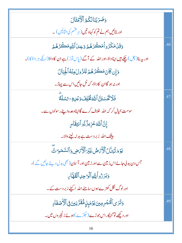| وَضَرَبْنَالِكُمُ ٱلْأَمْثَالَ                                                           |     |
|------------------------------------------------------------------------------------------|-----|
| اور بتائیں ہم نے تم کو کہاو تیں (ہر قشم کی مثالیں) ۔                                     |     |
| وَقَلْمَكَرُواْمَكَرَهُمُّ وَعِندَاللَّهِمَكَّرُهُمُّ                                    | .46 |
| اور بیہ بنا(چل) چکے ہیں اپناداؤ،اور اللہ کے آگے (پاس توڑ) ہے ان کا داؤ(اللّٰہ ہر داؤکا)۔ |     |
| <u>وَإِن كَانَ</u> مَكَّرُهُمْ لِتَزُولَ مِنْهُ ٱلْجِبَالُ                               |     |
| اور نہ ہو گاان کاداؤ، کہ ٹل جائیں اس سے پہاڑ۔                                            |     |
| فَلَا تَكَسَبَنَّ اللَّهَ فُخُلِفَ وَعَلِيَّ رُسُلَةً                                    | .47 |
| سومت خیال کر کہ اللہ خلاف کرے گااپناوعدہ اپنے رسولوں سے۔                                 |     |
| إِنَّ اللَّهَ عَزِيزٌ ذُو اَنتِقَامٍ                                                     |     |
| <b>بیٹک اللہ زبر دست ہے بدلہ لینے والا۔</b>                                              |     |
| يَوْمَ تُبَلَّلُ ٱلْأَرَضُ غَيْرَ ٱلْأَرَضِ وَٱلسَّمَوَاتُ                               | .48 |
| جس دن بد لی جائے اس زمین سے اور زمین اور آسان (بھی بدل دیئے جائیں گے )،                  |     |
| وَبَرَرُواً لِلَّهِ ٱلْوَاحِدِ ٱلْقَهَّارِ                                               |     |
| اورلوگ نکل کھڑے ہوں سامنے اللہ  اکیلے زبر دست کے ۔                                       |     |
| وَتَرَى ٱلْمُجۡرِمِينَ يَوۡمَبِنِهُمَّتَرَنِينَ فِى ٱلۡأَصۡفَادِ                         | .49 |
| اور دیکھے تو گنہگار اس جوڑے (حِکڑے )ہوئےزنجیروں میں۔                                     |     |